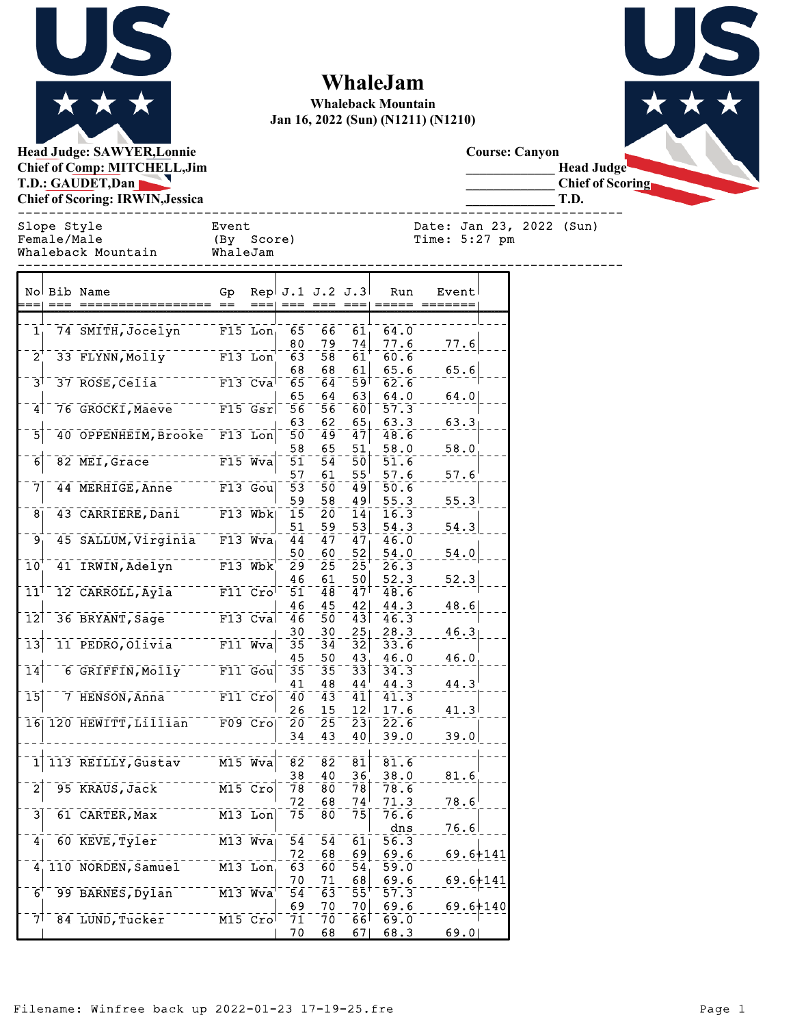

## **WhaleJam**

**Whaleback Mountain Jan 16, 2022 (Sun) (N1211) (N1210)**





**Course: Canyon**

**\_\_\_\_\_\_\_\_\_\_\_\_\_ Head Judge**

**\_\_\_\_\_\_\_\_\_\_\_\_\_ Chief of Scoring \_\_\_\_\_\_\_\_\_\_\_\_\_ T.D.**

| Slope Style        | Event      | Date: Jan 23, 2022 (Sun) |
|--------------------|------------|--------------------------|
| Female/Male        | (By Score) | Time: 5:27 pm            |
| Whaleback Mountain | WhaleJam   |                          |

Slope Style Event Date: Jan 23, 2022 (Sun) haleJam

------------------------------------------------------------------------------

|                  | No Bib Name                 | Gp        |                                   |          | Rep!J.1 J.2 J.3!       |                        | Run          | Event        |  |
|------------------|-----------------------------|-----------|-----------------------------------|----------|------------------------|------------------------|--------------|--------------|--|
|                  |                             |           |                                   |          |                        |                        |              |              |  |
| $\mathbf{1}$     | 74 SMITH, Jocelyn           |           | $F15$ Lon                         | 65<br>80 | 66<br>79               | 61<br>74               | 64.0<br>77.6 | 77.6         |  |
| $\overline{2}$   | 33 FLYNN, Molly             |           | F13 Lon                           | 63       | 58                     | 61                     | 60.6         |              |  |
|                  |                             |           |                                   | 68       | 68                     | 61                     | 65.6         | 65.6         |  |
| 3 <sup>1</sup>   | 37 ROSE, Celia              |           | $F13$ Cva                         | 65       | 64                     | ا 59                   | 62.6         |              |  |
|                  |                             |           |                                   | 65       | 64                     | 631                    | 64.0         | 64.0         |  |
| 4                | 76 GROCKI, Maeve            |           | $F15$ Gsr                         | 56       | 56                     | 601                    | 57.3         |              |  |
|                  |                             |           |                                   | 63       | 62                     | 65                     | 63.3         | 63.3         |  |
| $\bar{5}$        | 40 OPPENHEIM, Brooke        |           | $F13$ Lon                         | 50       | 49                     | 47                     | 48.6         |              |  |
| 6                | 82 MEI, Grace               |           | $F15$ Wva                         | 58<br>51 | 65<br>54               | 51<br>50               | 58.0<br>51.6 | 58.0         |  |
|                  |                             |           |                                   | 57       | 61                     | 55                     | 57.6         | 57.6         |  |
| 7                | 44 MERHIGE, Anne            |           | F13 Gou                           | 53       | 50                     | 49                     | 50.6         |              |  |
|                  |                             |           |                                   | 59       | 58                     | 49                     | 55.3         | 55.3         |  |
| 8                | 43 CARRIERE, Dani           |           | $F13$ Wbk                         | 15       | 20                     | 14                     | 16.3         |              |  |
|                  |                             |           |                                   | 51       | 59                     | 53                     | 54.3         | 54.3         |  |
| 9                | 45 SALLUM, Virginia F13 Wva |           |                                   | 44       | 47                     | 47                     | 46.0         |              |  |
|                  |                             |           |                                   | 50       | 60                     | 52                     | 54.0         | 54.0         |  |
| 10               | 41 IRWIN, Adelyn            | $F13$ Wbk |                                   | 29       | 25                     | 25                     | 26.3         |              |  |
| 11               | 12 CARROLL, Ayla            |           | $F11$ $CrO$                       | 46       | 61<br>48               | 50<br>47               | 52.3         | 52.3         |  |
|                  |                             |           |                                   | 51<br>46 | 45                     | 42                     | 48.6<br>44.3 | 48.6         |  |
| 12               | 36 BRYANT, Sage             |           | $F13$ Cva                         | 46       | 50                     | 43                     | 46.3         |              |  |
|                  |                             |           |                                   | 30       | 30                     | 25                     | 28.3         | 46.3         |  |
| $\bar{1}\bar{3}$ | 11 PEDRO, Olivia            |           | $F11$ Wva                         | 35       | 34                     | $\bar{3}\bar{2}$       | 33.6         |              |  |
|                  |                             |           |                                   | 45       | 50                     | 43                     | 46.0         | 46.0         |  |
| 14               | 6 GRIFFIN, Molly            |           | $F11$ $Gou$                       | 35       | 35                     | $\bar{3}\bar{3}$       | 34.3         |              |  |
|                  |                             |           |                                   | 41       | 48                     | 44                     | 44.3         | 44.3         |  |
| $\bar{\bf 15}$   | 7 HENSON, Anna              |           | $F11$ $CrO$                       | 40       | 43                     | 41                     | 41.3         |              |  |
|                  | 16 120 HEWITT, Lillian      |           | F09 Cro                           | 26<br>20 | 15<br>25               | 12<br>$\bar{2}\bar{3}$ | 17.6<br>22.6 | 41.3         |  |
|                  |                             |           |                                   | 34       | 43                     | 40                     | 39.0         | 39.0         |  |
|                  |                             |           |                                   |          |                        |                        |              |              |  |
| $\mathbf 1$      | 113 REILLY, Gustav          |           | $\overline{M15}$ $\overline{Wv}a$ | 82       | $\bar{8}\bar{2}$       | $\bar{8}\bar{1}$       | 81.6         |              |  |
|                  |                             |           |                                   | 38       | 40                     | 36                     | 38.0         | 81.6         |  |
| $\bar{2}$        | 95 KRAUS, Jack              |           | $M15$ $Cro$                       | 78       | 80                     | 78                     | 78.6         |              |  |
|                  |                             |           |                                   | 72       | 68                     | 74                     | 71.3         | 78.6         |  |
| 3                | 61 CARTER, Max              |           | $M13$ Lon                         | 75       | 80                     | 75                     | 76.6         |              |  |
|                  |                             |           |                                   |          |                        |                        | dns          | 76.6         |  |
| 4 <sub>1</sub>   | 60 KEVE, Tyler              |           | $M13$ $Wva$                       | 54<br>72 | $\bar{5}\bar{4}$<br>68 | 61<br>69               | 56.3<br>69.6 | $69.6 + 141$ |  |
| 4.               | 110 NORDEN, Samuel          |           | $M13$ Lon                         | 63       | 60                     | 54                     | 59.0         |              |  |
|                  |                             |           |                                   | 70       | 71                     | 68                     | 69.6         | $69.6 + 141$ |  |
| $6^{\circ}$      | 99 BARNES, Dylan            |           | M13 Wva                           | 54       | $\bar{6}\bar{3}$       | 55                     | 57.3         |              |  |
|                  |                             |           |                                   | 69       | 70                     | 70                     | 69.6         | 69.6+140     |  |
| 71               | 84 LUND, Tucker             |           | M15 Cro                           | 71       | 70                     | ا 66                   | 69.0         |              |  |
|                  |                             |           |                                   | 70       | 68                     | 67                     | 68.3         | 69.0         |  |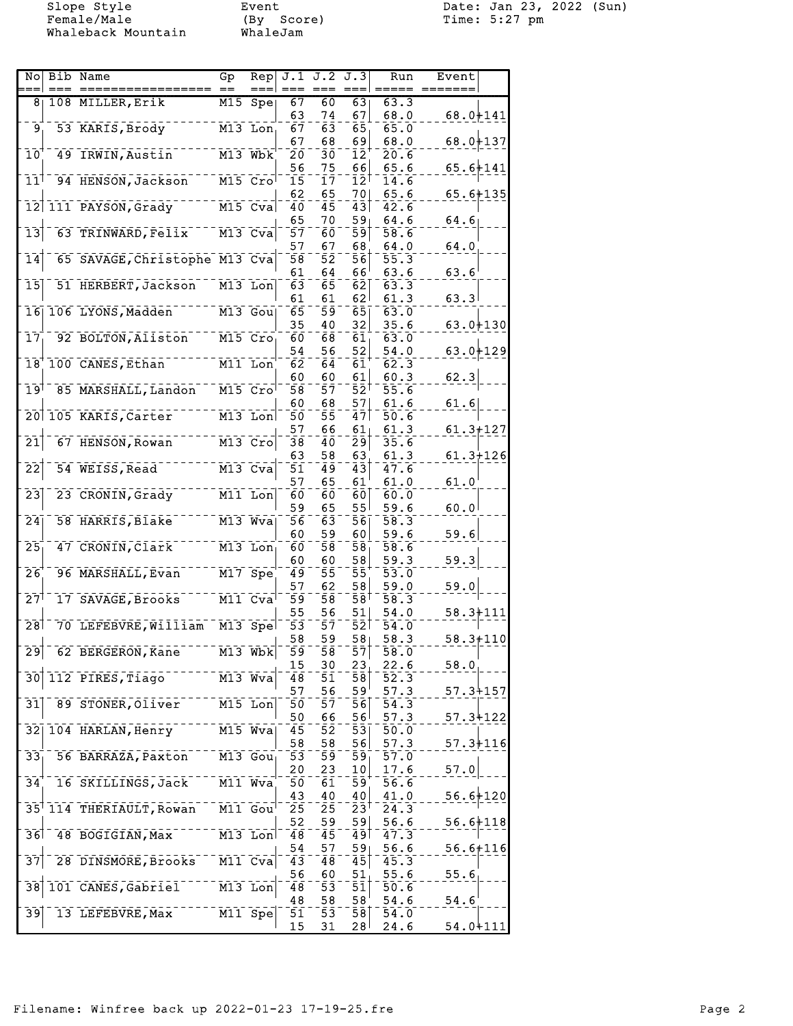Whaleback Mountain

Event<br>(By Score)<br>WhaleJam

Slope Style Event Date: Jan 23, 2022 (Sun)

| No                         | Bib Name                      | Gp                                 | Rep                                             | J.1              | J.2              | J.3                | Run               | Event          |  |
|----------------------------|-------------------------------|------------------------------------|-------------------------------------------------|------------------|------------------|--------------------|-------------------|----------------|--|
|                            |                               |                                    |                                                 |                  |                  |                    |                   |                |  |
| 8                          | 108 MILLER, Erik              | M15                                | Spe                                             | $\overline{67}$  | 60               | 63                 | 63.3              |                |  |
|                            |                               |                                    |                                                 | 63               | 74               | 67                 | 68.0              | $68.0 + 141$   |  |
| 9                          | 53 KARIS, Brody               |                                    | $M13$ Lon                                       | 67               | 63               | 65                 | 65.0              |                |  |
|                            |                               |                                    |                                                 | 67               | 68               | 69                 | 68.0              | 68.0+137       |  |
| $\overline{10}$            | 49 IRWIN, Austin              | $M13$ Wbk                          |                                                 | 20               | зō               | 12                 | 20.6              |                |  |
|                            |                               |                                    |                                                 | 56               | 75               | 66                 | 65.6              | $65.6 + 141$   |  |
| $\overline{1}\overline{1}$ | 94 HENSON, Jackson            | $M15$ Cro                          |                                                 | $\bar{15}$       | īī               | $12^{1}$           | 14.6              |                |  |
|                            |                               |                                    |                                                 | 62               | 65               | 70                 | 65.6              | $65.6 + 135$   |  |
| $\overline{12}$            | 111 PAYSON, Grady             |                                    | $M15$ Cva                                       | 40               | 45               | 43                 | 42.6              |                |  |
|                            |                               |                                    |                                                 | 65               | 70               | 59 <sub>1</sub>    | 64.6              | 64.6           |  |
| $\overline{13}$            | 63 TRINWARD, Felix            |                                    | $M13$ $Cva$                                     | 57               | 60               | $\bar{5}\bar{9}$   | 58.6              |                |  |
|                            |                               |                                    |                                                 | 57               | 67               | 68                 | 64.0              | 64.0           |  |
| $\overline{1}\overline{4}$ | 65 SAVAGE, Christophe M13 Cva |                                    |                                                 | $\bar{5}\bar{8}$ | $\bar{5}\bar{2}$ | 56                 | 55.3              |                |  |
|                            |                               |                                    |                                                 | 61               | 64               | 66                 | 63.6              | $63.6^{\circ}$ |  |
| $\overline{15}$            | 51 HERBERT, Jackson           |                                    | M13 Lon                                         | 63               | 65               | $\bar{6}\bar{2}$   | 63.3              |                |  |
|                            |                               |                                    |                                                 | 61               | 61               | 62                 | 61.3              | 63.3           |  |
| $\overline{16}$            | 106 LYONS, Madden             | M13 Gou                            |                                                 | 65               | 59               | $\overline{65}$    | 63.0              |                |  |
|                            |                               |                                    |                                                 | 35               | 40               | 32                 | 35.6              | $63.0 + 130$   |  |
| 17                         | 92 BOLTON, Aliston            | $M15$ $Cro$                        |                                                 | 60               | 68               | 61                 | 63.0              |                |  |
|                            |                               |                                    |                                                 | 54               | 56               | 52                 | 54.0              | $63.0 + 129$   |  |
|                            | 18 100 CANES, Ethan           | M11 Lon                            |                                                 | 62               | 64               | 61                 | 62.3              |                |  |
|                            |                               |                                    |                                                 | 60               | 60               | 61                 | 60.3              | 62.3           |  |
| $\overline{19}$            | 85 MARSHALL, Landon           | $M15$ $Cro$                        |                                                 | 58               | 57               | 52 <sup>1</sup>    | 55.6              |                |  |
|                            |                               |                                    |                                                 | 60               | 68               | 57                 | 61.6              | 61.6           |  |
| $\overline{20}$            | 105 KARIS, Carter             |                                    | $M13$ Lon                                       | 50               | 55               | 47                 | 50.6              |                |  |
|                            |                               |                                    |                                                 |                  |                  |                    |                   |                |  |
| $\bar{2}\bar{1}$           |                               |                                    |                                                 | 57               | 66               | 61                 | 61.3              | $61.3 + 127$   |  |
|                            | 67 HENSON, Rowan              |                                    | $M13$ Cro                                       | $\bar{3}\bar{8}$ | 4ō               | 29                 | 35.6              |                |  |
|                            |                               |                                    |                                                 | 63               | 58               | 63                 | 61.3              | $61.3 + 126$   |  |
| $\overline{2}\overline{2}$ | 54 WEISS, Read                | $M13$ Cva                          |                                                 | 51               | 49               | 43                 | 47.6              |                |  |
|                            |                               |                                    |                                                 | 57               | 65               | 61                 | 61.0              | $61.0^{\circ}$ |  |
| $\bar{2}\bar{3}$           | 23 CRONIN, Grady              | M11 Lon                            |                                                 | 60               | 60               | 60                 | 60.0              |                |  |
|                            |                               |                                    |                                                 | 59               | 65               | 55                 | 59.6              | 60.0           |  |
| $\overline{24}$            | 58 HARRIS, Blake              | $M13$ Wva                          |                                                 | 56               | 63               | 56                 | 58.3              |                |  |
|                            |                               |                                    |                                                 | 60               | 59               | 60                 | 59.6              | 59.6           |  |
| $\overline{25}$            | 47 CRONIN, Clark              |                                    | $M13$ Lon                                       | $\bar{6}\bar{0}$ | 58               | $\bar{5}\bar{8}$   | 58.6              |                |  |
|                            |                               |                                    |                                                 | 60               | 60               | 58                 | 59.3              | 59.3           |  |
| 26                         | 96 MARSHALL, Evan             | $M17$ Spe                          |                                                 | 49               | 55               | 55                 | 53.0              |                |  |
|                            |                               |                                    |                                                 | 57               | 62               | 58                 | 59.0              | 59.0           |  |
| 27                         | 17 SAVAGE, Brooks             | $\overline{M11}$ Cva               |                                                 | 59               | 58               | ا 58               | 58.3              |                |  |
|                            |                               |                                    |                                                 | 55               | 56               | 51                 | 54.0              | $58.3 + 111$   |  |
| 28                         | 70 LEFEBVRE, William          |                                    | $M13$ Spel                                      | 53               | 57               | 521                | 54.0              |                |  |
|                            |                               |                                    |                                                 | 58               | 59               | 58 <sub>1</sub>    | 58.3              | $58.3 + 110$   |  |
| $\mathbf{2}\mathbf{9}$     | 62 BERGERON, Kane             |                                    | $\overline{M13}$ $\overline{Wb}$ $\overline{k}$ | 59.              | 58               | 57                 | 58.0              |                |  |
|                            |                               |                                    |                                                 | 15               | 30               | 23                 | 22.6              | 58.0           |  |
| 30                         | 112 PIRES, Tiago              | $\overline{M13}$ $\overline{W}$ va |                                                 | $\overline{48}$  | 51               | $\bar{5}\bar{8}$   | $\overline{52.3}$ |                |  |
|                            |                               |                                    |                                                 | 57               | 56               | 59'                | 57.3              | $57.3 + 157$   |  |
| 31                         | 89 STONER, Oliver             |                                    | $M15$ Lon                                       | 50               | 57               | 56                 | $\bar{54}$ .3     |                |  |
|                            |                               |                                    |                                                 | 50               | 66               | ا 56               | 57.3              | $57.3 + 122$   |  |
| 32                         | 104 HARLAN, Henry             |                                    | M15 Wva                                         | 45               | 52               | 53                 | 50.0              |                |  |
|                            |                               |                                    |                                                 | 58               | 58               | 56                 | 57.3              | $57.3 + 116$   |  |
| 33 <sub>1</sub>            | 56 BARRAZA, Paxton            |                                    | $\overline{M13}$ Gou                            | 53               | $\bar{5}\bar{9}$ | $\bar{59}$         | $\bar{57.0}$      |                |  |
|                            |                               |                                    |                                                 | 20               | 23               | 10                 | 17.6              | 57.0           |  |
| 34                         | 16 SKILLINGS, Jack            | M11 Wva                            |                                                 | 50               | 61               | $\bar{5}\bar{9}$   | 56.6              |                |  |
|                            |                               |                                    |                                                 | 43               | 40               | 40                 | 41.0              | $56.6 + 120$   |  |
|                            | 35 114 THERIAULT, Rowan       |                                    | M11 Gou                                         | 25               | 25               | $2\bar{3}^\dagger$ | 24.3              |                |  |
|                            |                               |                                    |                                                 | 52               |                  | 59                 |                   |                |  |
| 36                         | 48 BOGIGIAN, Max              |                                    |                                                 |                  | 59               |                    | 56.6              | $56.6 + 118$   |  |
|                            |                               |                                    | $\overline{M13}$ Lon                            | 48               | 45               | 491                | 47.3              |                |  |
|                            |                               |                                    |                                                 | 54               | 57               | 59                 | 56.6              | $56.6 + 116$   |  |
| $\overline{37}$            | 28 DINSMORE, Brooks           |                                    | M11 Cva                                         | 43               | 48               | 45                 | 45.3              |                |  |
|                            |                               |                                    |                                                 | 56               | 60               | 51                 | 55.6              | 55.6           |  |
| 38                         | 101 CANES, Gabriel            |                                    | $M13$ Lon                                       | 48               | 53               | $\bar{5}\bar{1}$   | 50.6              |                |  |
|                            |                               |                                    |                                                 | 48               | 58               | 58                 | 54.6              | 54.6           |  |
| $\overline{39}$            | 13 LEFEBVRE, Max              |                                    | M11 Spe                                         | 51               | 53               | 58                 | 54.0              |                |  |
|                            |                               |                                    |                                                 | 15               | 31               | 28 <sup>1</sup>    | 24.6              | $54.0 + 111$   |  |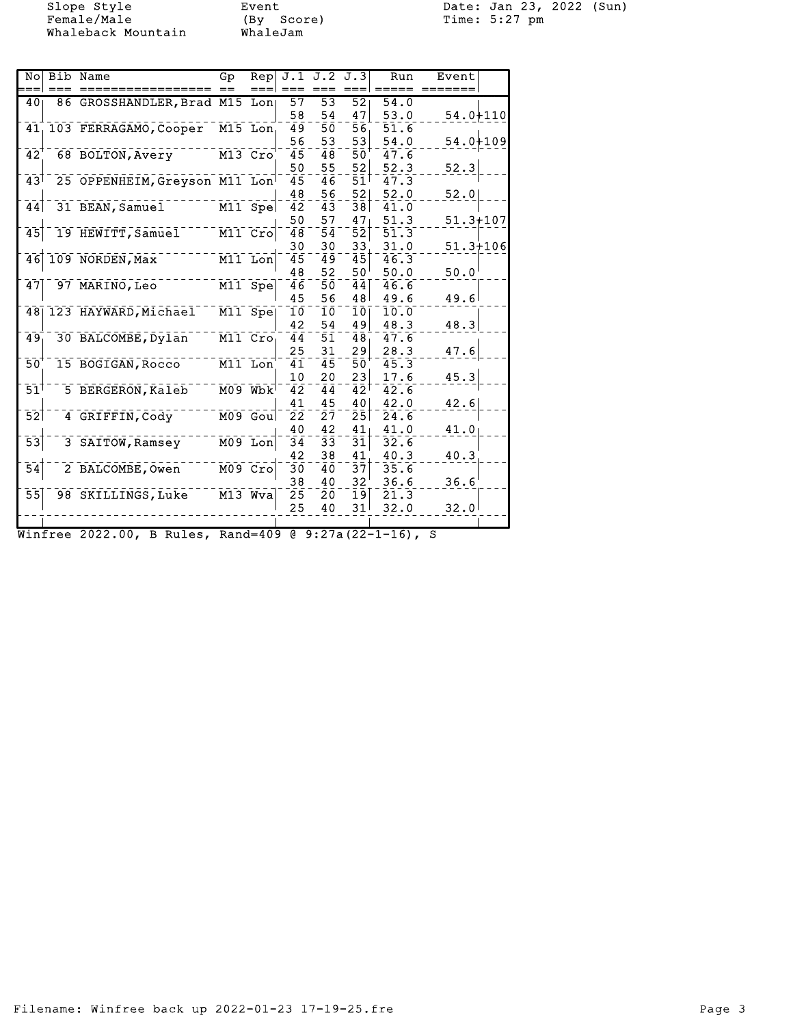Whaleback Mountain

Event<br>(By Score)<br>WhaleJam

Slope Style Event Date: Jan 23, 2022 (Sun)

| No                         | Bib Name                                             | Gp      | Rep                                |                  | $J.1$ $J.2$ $J.3$  |                            | Run           | Event        |  |
|----------------------------|------------------------------------------------------|---------|------------------------------------|------------------|--------------------|----------------------------|---------------|--------------|--|
|                            |                                                      |         |                                    |                  |                    |                            |               |              |  |
| 40                         | 86 GROSSHANDLER, Brad M15 Lon                        |         |                                    | 57               | $\overline{53}$    | $\overline{52}$            | 54.0          |              |  |
|                            |                                                      |         |                                    | 58               | 54                 | 47                         | 53.0          | $54.0 + 110$ |  |
|                            | 41, 103 FERRAGAMO, Cooper                            |         | M15 Lon                            | 49               | 5ō                 | 56                         | 51.6          |              |  |
|                            |                                                      |         |                                    | 56               | 53                 | 53                         | 54.0          | $54.0 + 109$ |  |
| 42                         | 68 BOLTON, Avery                                     | M13 Cro |                                    | $\overline{45}$  | $\bar{4}\,\bar{8}$ | 50                         | 47.6          |              |  |
|                            |                                                      |         |                                    | 50               | 55                 | 52                         | 52.3          | 52.3         |  |
| 73                         | 25 OPPENHEIM, Greyson M11 Lon                        |         |                                    | $\overline{45}$  | $\bar{4}\bar{6}$   | $\bar{5}\bar{1}^{\bar{1}}$ | 47.3          |              |  |
|                            |                                                      |         |                                    | 48               | 56                 | 52                         | 52.0          | 52.0         |  |
| $\overline{4}\overline{4}$ | 31 BEAN, Samuel                                      |         | $M11$ Spe                          | $\bar{4}\bar{2}$ | $\bar{4}3$         | 38                         | 41.0          |              |  |
|                            |                                                      |         |                                    | 50               | 57                 | 47                         | 51.3          | $51.3 + 107$ |  |
| $\overline{45}$            | 19 HEWITT, Samuel                                    |         | $\overline{M11}$ $\overline{C}$ ro | $\overline{48}$  | $\bar{5}\bar{4}$   | $\bar{5}\bar{2}$           | $\bar{51}$ .3 |              |  |
|                            |                                                      |         |                                    | 30               | 30                 | 33.                        | 31.0          | $51.3 + 106$ |  |
| 46                         | 109 NORDEN, Max                                      |         | $\overline{M11}$ Lon               | $\bar{4}5$       | 49                 | 45                         | 46.3          |              |  |
|                            |                                                      |         |                                    | 48               | 52                 | 50 <sup>1</sup>            | 50.0          | 50.0         |  |
| 47                         | 97 MARINO, Leo                                       |         | M11 Spe                            | 46               | 50                 | 44                         | 46.6          |              |  |
|                            |                                                      |         |                                    | 45               | 56                 | 48                         | 49.6          | 49.6         |  |
|                            | 48 123 HAYWARD, Michael                              |         | M11 Spe                            | 10               | īō                 | 10 <sub>1</sub>            | 10.0          |              |  |
|                            |                                                      |         |                                    | 42               | 54                 | 49                         | 48.3          | 48.3         |  |
| 49                         | 30 BALCOMBE, Dylan                                   |         | M11 Cro                            | $\overline{44}$  | 5ī                 | 48                         | 47.6          |              |  |
|                            |                                                      |         |                                    | 25               | 31                 | 29                         | 28.3          | 47.6         |  |
| 50                         | 15 BOGIGAN, Rocco                                    |         | M11 Lon                            | 41               | 45                 | 50                         | 45.3          |              |  |
|                            |                                                      |         |                                    | 10               | 20                 | 23                         | 17.6          | 45.3         |  |
| 51                         | 5 BERGERON, Kaleb                                    |         | $M09$ Wbk                          | $\bar{4}\bar{2}$ | 44                 | 42 <sup>1</sup>            | 42.6          |              |  |
|                            |                                                      |         |                                    | 41               | 45                 | 40                         | 42.0          | 42.6         |  |
| $\overline{52}$            | 4 GRIFFIN, Cody                                      |         | $M09$ Gou                          | 22               | 27                 | 25 <sub>1</sub>            | 24.6          |              |  |
|                            |                                                      |         |                                    | 40               | 42                 | 41                         | 41.0          | 41.0         |  |
| $\overline{53}$            | 3 SAITOW, Ramsey                                     |         | $M09$ Lon                          | 34               | 33                 | $\bar{3}\bar{1}$           | 32.6          |              |  |
|                            |                                                      |         |                                    | 42               | 38                 | 41                         | 40.3          | 40.3         |  |
| $\overline{54}$            | 2 BALCOMBE, Owen                                     |         | M09 Cro                            | 30               | 40                 | 37                         | 35.6          |              |  |
|                            |                                                      |         |                                    | 38               | 40                 | 32                         | 36.6          | 36.6         |  |
| 55                         | 98 SKILLINGS, Luke                                   |         | $M13$ $Wva$                        | 25               | 20                 | 19                         | 21.3          |              |  |
|                            |                                                      |         |                                    | 25               | 40                 | 31                         | 32.0          | 32.0         |  |
|                            |                                                      |         |                                    |                  |                    |                            |               |              |  |
|                            | Winfree 2022.00, B Rules, Rand=409 @ 9:27a(22-1-16), |         |                                    |                  |                    |                            |               | S            |  |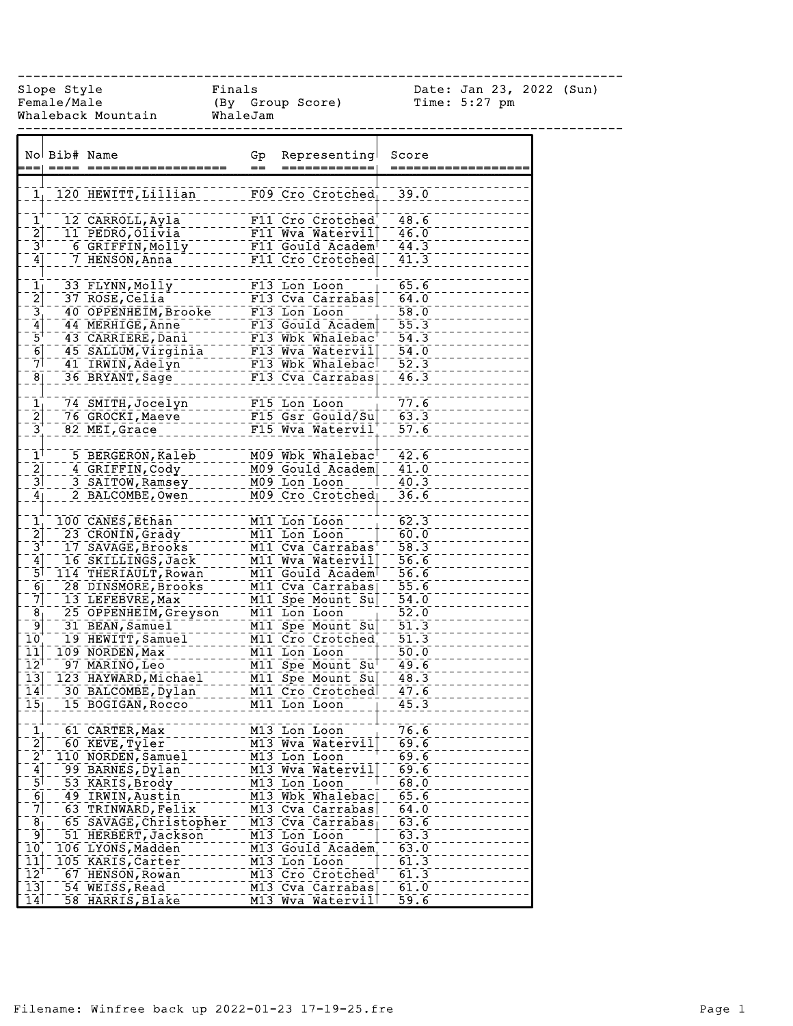------------------------------------------------------------------------------

Female/Male (By Group Score) Time: 5:27 pm Whaleback Mountain WhaleJam

Slope Style Finals Date: Jan 23, 2022 (Sun)

| No Bib# Name<br>Representing<br>Gp<br>Score<br>$=$<br>=========<br>120 HEWITT, Lillian<br>39.0<br>F09 Cro Crotched<br>$\overline{1}$<br>48.6<br>F11 Cro Crotched<br>12 CARROLL, Ayla<br>$\left[2\right]$<br>46.0<br>11 PEDRO, Olivia<br>F11 Wva Watervil<br>$\overline{a}$<br>$\bar{3}$<br>44.3<br>6 GRIFFIN, Molly<br>F11 Gould Academ<br>41.3<br>7 HENSON, Anna<br>$\overline{4}$<br>F11 Cro Crotched<br>$\frac{1}{2}$<br>65.6<br>33 FLYNN, Molly<br>F13 Lon Loon<br>64.0<br>37 ROSE, Celia<br>F13 Cva Carrabas<br>$\frac{3}{6}$<br>$\frac{58.0}{55.3}$<br>40 OPPENHEIM, Brooke<br>F13 Lon Loon<br>44 MERHIGE, Anne<br>F13 Gould Academ<br>43 CARRIERE, Dani<br>F13 Wbk Whalebac <sup>t</sup><br>$\overline{54.3}$<br>F13 Wva Watervill<br>54.0<br>45 SALLUM, Virginia<br>41 IRWIN, Adelyn<br>52.3<br>F13 Wbk Whalebacl<br>36 BRYANT, Sage<br>46.3<br>F13 Cva Carrabas<br>$\frac{1}{2}$<br>77.6<br>74 SMITH, Jocelyn<br>F15 Lon Loon<br>63.3<br>F15 Gsr Gould/Su<br>76 GROCKI, Maeve<br>$3^{-}$<br>82 MEI, Grace<br>F15 Wva Watervil<br>57.6<br>M09 Wbk Whalebac <sup>T</sup><br>42.6<br>5 BERGERON, Kaleb<br>$\frac{2}{3}$<br>41.0<br>4 GRIFFIN, Cody<br>M09 Gould Academ<br>40.3<br>3 SAITOW, Ramsey<br>M09 Lon Loon<br>36.6<br>2 BALCOMBE, Owen<br>M09 Cro Crotched<br>$\frac{1}{2}$ $\frac{2}{3}$<br>62.3<br>100 CANES, Ethan<br>M11 Lon Loon<br>60.0<br>23 CRONIN, Grady<br>M11 Lon Loon<br>$\overline{58.3}$<br>17 SAVAGE, Brooks<br>M11 Cva Carrabas'<br>M11 Wya Wateryil --<br>56.6<br>16 SKILLINGS, Jack<br>56.6<br>114 THERIAULT, Rowan<br>M11 Gould Academ<br>$\overline{55.6}$<br>$\overline{6}$<br>28 DINSMORE, Brooks<br>M11 Cva Carrabas<br>$\overline{7}$<br>13 LEFEBVRE, Max<br>M11 Spe Mount Su<br>54.0<br>$\bar{8}$<br>$\overline{52.0}$<br>25 OPPENHEIM, Greyson<br>M11 Lon Loon<br>51.3<br>⊺و⊺<br>31 BEAN, Samuel<br>M11 Spe Mount Su<br>$10^{\degree}$<br>51.3<br>19 HEWITT, Samuel<br>M11 Cro Crotched<br>109 NORDEN, Max<br>50.0<br>M11 Lon Loon<br>49.6<br>M11 Spe Mount Su <sup>t</sup><br>97 MARINO, Leo<br>M11 Spe Mount Sul<br>123 HAYWARD, Michael<br>48.3<br>30 BALCOMBE, Dylan<br>M11 Cro Crotched<br>47.6<br>15 BOGIGAN, Rocco<br>45.3<br>$\overline{15}$<br>M11 Lon Loon<br>76.6<br>61 CARTER, Max<br>M13 Lon Loon<br>$\frac{1}{2}$<br>69.6<br>M13 Wva Watervil<br>60 KEVE, Tyler<br>69.6<br>M13 Lon Loon<br>110 NORDEN, Samuel<br>69.6<br>99 BARNES, Dylan<br>M13 Wva Watervil<br>68.0<br>53 KARIS, Brody<br>M13 Lon Loon<br>M13 Wbk Whalebac<br>49 IRWIN, Austin<br>65.6<br>63 TRINWARD, Felix<br>M13 Cva Carrabas<br>64.0<br>$\bar{8}$<br>M13 Cva Carrabas<br>63.6<br>65 SAVAGE, Christopher<br>ؘؘۜۅ<br>63.3<br>M13 Lon Loon<br>51 HERBERT, Jackson<br>106 LYONS, Madden<br>M13 Gould Academ<br>63.0<br>61.3<br>105 KARIS, Carter<br>M13 Lon Loon<br>61.3<br>67 HENSON, Rowan<br>M13 Cro Crotched<br>54 WEISS, Read<br>M13 Cva Carrabas<br>61.0<br>58 HARRIS, Blake<br>M13 Wva Watervil |                              |  |  |      |
|--------------------------------------------------------------------------------------------------------------------------------------------------------------------------------------------------------------------------------------------------------------------------------------------------------------------------------------------------------------------------------------------------------------------------------------------------------------------------------------------------------------------------------------------------------------------------------------------------------------------------------------------------------------------------------------------------------------------------------------------------------------------------------------------------------------------------------------------------------------------------------------------------------------------------------------------------------------------------------------------------------------------------------------------------------------------------------------------------------------------------------------------------------------------------------------------------------------------------------------------------------------------------------------------------------------------------------------------------------------------------------------------------------------------------------------------------------------------------------------------------------------------------------------------------------------------------------------------------------------------------------------------------------------------------------------------------------------------------------------------------------------------------------------------------------------------------------------------------------------------------------------------------------------------------------------------------------------------------------------------------------------------------------------------------------------------------------------------------------------------------------------------------------------------------------------------------------------------------------------------------------------------------------------------------------------------------------------------------------------------------------------------------------------------------------------------------------------------------------------------------------------------------------------------------------------------------------------------------------------------------------------------------------------------------------------------------------------------------------------------------------------------------------------------------------------------------------------------------------------------------------------------------------------------------------|------------------------------|--|--|------|
|                                                                                                                                                                                                                                                                                                                                                                                                                                                                                                                                                                                                                                                                                                                                                                                                                                                                                                                                                                                                                                                                                                                                                                                                                                                                                                                                                                                                                                                                                                                                                                                                                                                                                                                                                                                                                                                                                                                                                                                                                                                                                                                                                                                                                                                                                                                                                                                                                                                                                                                                                                                                                                                                                                                                                                                                                                                                                                                                |                              |  |  |      |
|                                                                                                                                                                                                                                                                                                                                                                                                                                                                                                                                                                                                                                                                                                                                                                                                                                                                                                                                                                                                                                                                                                                                                                                                                                                                                                                                                                                                                                                                                                                                                                                                                                                                                                                                                                                                                                                                                                                                                                                                                                                                                                                                                                                                                                                                                                                                                                                                                                                                                                                                                                                                                                                                                                                                                                                                                                                                                                                                |                              |  |  |      |
|                                                                                                                                                                                                                                                                                                                                                                                                                                                                                                                                                                                                                                                                                                                                                                                                                                                                                                                                                                                                                                                                                                                                                                                                                                                                                                                                                                                                                                                                                                                                                                                                                                                                                                                                                                                                                                                                                                                                                                                                                                                                                                                                                                                                                                                                                                                                                                                                                                                                                                                                                                                                                                                                                                                                                                                                                                                                                                                                | 1 <sub>1</sub>               |  |  |      |
|                                                                                                                                                                                                                                                                                                                                                                                                                                                                                                                                                                                                                                                                                                                                                                                                                                                                                                                                                                                                                                                                                                                                                                                                                                                                                                                                                                                                                                                                                                                                                                                                                                                                                                                                                                                                                                                                                                                                                                                                                                                                                                                                                                                                                                                                                                                                                                                                                                                                                                                                                                                                                                                                                                                                                                                                                                                                                                                                |                              |  |  |      |
|                                                                                                                                                                                                                                                                                                                                                                                                                                                                                                                                                                                                                                                                                                                                                                                                                                                                                                                                                                                                                                                                                                                                                                                                                                                                                                                                                                                                                                                                                                                                                                                                                                                                                                                                                                                                                                                                                                                                                                                                                                                                                                                                                                                                                                                                                                                                                                                                                                                                                                                                                                                                                                                                                                                                                                                                                                                                                                                                |                              |  |  |      |
|                                                                                                                                                                                                                                                                                                                                                                                                                                                                                                                                                                                                                                                                                                                                                                                                                                                                                                                                                                                                                                                                                                                                                                                                                                                                                                                                                                                                                                                                                                                                                                                                                                                                                                                                                                                                                                                                                                                                                                                                                                                                                                                                                                                                                                                                                                                                                                                                                                                                                                                                                                                                                                                                                                                                                                                                                                                                                                                                |                              |  |  |      |
|                                                                                                                                                                                                                                                                                                                                                                                                                                                                                                                                                                                                                                                                                                                                                                                                                                                                                                                                                                                                                                                                                                                                                                                                                                                                                                                                                                                                                                                                                                                                                                                                                                                                                                                                                                                                                                                                                                                                                                                                                                                                                                                                                                                                                                                                                                                                                                                                                                                                                                                                                                                                                                                                                                                                                                                                                                                                                                                                |                              |  |  |      |
|                                                                                                                                                                                                                                                                                                                                                                                                                                                                                                                                                                                                                                                                                                                                                                                                                                                                                                                                                                                                                                                                                                                                                                                                                                                                                                                                                                                                                                                                                                                                                                                                                                                                                                                                                                                                                                                                                                                                                                                                                                                                                                                                                                                                                                                                                                                                                                                                                                                                                                                                                                                                                                                                                                                                                                                                                                                                                                                                |                              |  |  |      |
|                                                                                                                                                                                                                                                                                                                                                                                                                                                                                                                                                                                                                                                                                                                                                                                                                                                                                                                                                                                                                                                                                                                                                                                                                                                                                                                                                                                                                                                                                                                                                                                                                                                                                                                                                                                                                                                                                                                                                                                                                                                                                                                                                                                                                                                                                                                                                                                                                                                                                                                                                                                                                                                                                                                                                                                                                                                                                                                                |                              |  |  |      |
|                                                                                                                                                                                                                                                                                                                                                                                                                                                                                                                                                                                                                                                                                                                                                                                                                                                                                                                                                                                                                                                                                                                                                                                                                                                                                                                                                                                                                                                                                                                                                                                                                                                                                                                                                                                                                                                                                                                                                                                                                                                                                                                                                                                                                                                                                                                                                                                                                                                                                                                                                                                                                                                                                                                                                                                                                                                                                                                                |                              |  |  |      |
|                                                                                                                                                                                                                                                                                                                                                                                                                                                                                                                                                                                                                                                                                                                                                                                                                                                                                                                                                                                                                                                                                                                                                                                                                                                                                                                                                                                                                                                                                                                                                                                                                                                                                                                                                                                                                                                                                                                                                                                                                                                                                                                                                                                                                                                                                                                                                                                                                                                                                                                                                                                                                                                                                                                                                                                                                                                                                                                                |                              |  |  |      |
|                                                                                                                                                                                                                                                                                                                                                                                                                                                                                                                                                                                                                                                                                                                                                                                                                                                                                                                                                                                                                                                                                                                                                                                                                                                                                                                                                                                                                                                                                                                                                                                                                                                                                                                                                                                                                                                                                                                                                                                                                                                                                                                                                                                                                                                                                                                                                                                                                                                                                                                                                                                                                                                                                                                                                                                                                                                                                                                                |                              |  |  |      |
|                                                                                                                                                                                                                                                                                                                                                                                                                                                                                                                                                                                                                                                                                                                                                                                                                                                                                                                                                                                                                                                                                                                                                                                                                                                                                                                                                                                                                                                                                                                                                                                                                                                                                                                                                                                                                                                                                                                                                                                                                                                                                                                                                                                                                                                                                                                                                                                                                                                                                                                                                                                                                                                                                                                                                                                                                                                                                                                                |                              |  |  |      |
|                                                                                                                                                                                                                                                                                                                                                                                                                                                                                                                                                                                                                                                                                                                                                                                                                                                                                                                                                                                                                                                                                                                                                                                                                                                                                                                                                                                                                                                                                                                                                                                                                                                                                                                                                                                                                                                                                                                                                                                                                                                                                                                                                                                                                                                                                                                                                                                                                                                                                                                                                                                                                                                                                                                                                                                                                                                                                                                                |                              |  |  |      |
|                                                                                                                                                                                                                                                                                                                                                                                                                                                                                                                                                                                                                                                                                                                                                                                                                                                                                                                                                                                                                                                                                                                                                                                                                                                                                                                                                                                                                                                                                                                                                                                                                                                                                                                                                                                                                                                                                                                                                                                                                                                                                                                                                                                                                                                                                                                                                                                                                                                                                                                                                                                                                                                                                                                                                                                                                                                                                                                                | $\bar{7}$                    |  |  |      |
|                                                                                                                                                                                                                                                                                                                                                                                                                                                                                                                                                                                                                                                                                                                                                                                                                                                                                                                                                                                                                                                                                                                                                                                                                                                                                                                                                                                                                                                                                                                                                                                                                                                                                                                                                                                                                                                                                                                                                                                                                                                                                                                                                                                                                                                                                                                                                                                                                                                                                                                                                                                                                                                                                                                                                                                                                                                                                                                                | $\overline{8}$               |  |  |      |
|                                                                                                                                                                                                                                                                                                                                                                                                                                                                                                                                                                                                                                                                                                                                                                                                                                                                                                                                                                                                                                                                                                                                                                                                                                                                                                                                                                                                                                                                                                                                                                                                                                                                                                                                                                                                                                                                                                                                                                                                                                                                                                                                                                                                                                                                                                                                                                                                                                                                                                                                                                                                                                                                                                                                                                                                                                                                                                                                |                              |  |  |      |
|                                                                                                                                                                                                                                                                                                                                                                                                                                                                                                                                                                                                                                                                                                                                                                                                                                                                                                                                                                                                                                                                                                                                                                                                                                                                                                                                                                                                                                                                                                                                                                                                                                                                                                                                                                                                                                                                                                                                                                                                                                                                                                                                                                                                                                                                                                                                                                                                                                                                                                                                                                                                                                                                                                                                                                                                                                                                                                                                |                              |  |  |      |
|                                                                                                                                                                                                                                                                                                                                                                                                                                                                                                                                                                                                                                                                                                                                                                                                                                                                                                                                                                                                                                                                                                                                                                                                                                                                                                                                                                                                                                                                                                                                                                                                                                                                                                                                                                                                                                                                                                                                                                                                                                                                                                                                                                                                                                                                                                                                                                                                                                                                                                                                                                                                                                                                                                                                                                                                                                                                                                                                |                              |  |  |      |
|                                                                                                                                                                                                                                                                                                                                                                                                                                                                                                                                                                                                                                                                                                                                                                                                                                                                                                                                                                                                                                                                                                                                                                                                                                                                                                                                                                                                                                                                                                                                                                                                                                                                                                                                                                                                                                                                                                                                                                                                                                                                                                                                                                                                                                                                                                                                                                                                                                                                                                                                                                                                                                                                                                                                                                                                                                                                                                                                |                              |  |  |      |
|                                                                                                                                                                                                                                                                                                                                                                                                                                                                                                                                                                                                                                                                                                                                                                                                                                                                                                                                                                                                                                                                                                                                                                                                                                                                                                                                                                                                                                                                                                                                                                                                                                                                                                                                                                                                                                                                                                                                                                                                                                                                                                                                                                                                                                                                                                                                                                                                                                                                                                                                                                                                                                                                                                                                                                                                                                                                                                                                | $\bar{1}$                    |  |  |      |
|                                                                                                                                                                                                                                                                                                                                                                                                                                                                                                                                                                                                                                                                                                                                                                                                                                                                                                                                                                                                                                                                                                                                                                                                                                                                                                                                                                                                                                                                                                                                                                                                                                                                                                                                                                                                                                                                                                                                                                                                                                                                                                                                                                                                                                                                                                                                                                                                                                                                                                                                                                                                                                                                                                                                                                                                                                                                                                                                |                              |  |  |      |
|                                                                                                                                                                                                                                                                                                                                                                                                                                                                                                                                                                                                                                                                                                                                                                                                                                                                                                                                                                                                                                                                                                                                                                                                                                                                                                                                                                                                                                                                                                                                                                                                                                                                                                                                                                                                                                                                                                                                                                                                                                                                                                                                                                                                                                                                                                                                                                                                                                                                                                                                                                                                                                                                                                                                                                                                                                                                                                                                |                              |  |  |      |
|                                                                                                                                                                                                                                                                                                                                                                                                                                                                                                                                                                                                                                                                                                                                                                                                                                                                                                                                                                                                                                                                                                                                                                                                                                                                                                                                                                                                                                                                                                                                                                                                                                                                                                                                                                                                                                                                                                                                                                                                                                                                                                                                                                                                                                                                                                                                                                                                                                                                                                                                                                                                                                                                                                                                                                                                                                                                                                                                | 4 <sub>1</sub>               |  |  |      |
|                                                                                                                                                                                                                                                                                                                                                                                                                                                                                                                                                                                                                                                                                                                                                                                                                                                                                                                                                                                                                                                                                                                                                                                                                                                                                                                                                                                                                                                                                                                                                                                                                                                                                                                                                                                                                                                                                                                                                                                                                                                                                                                                                                                                                                                                                                                                                                                                                                                                                                                                                                                                                                                                                                                                                                                                                                                                                                                                |                              |  |  |      |
|                                                                                                                                                                                                                                                                                                                                                                                                                                                                                                                                                                                                                                                                                                                                                                                                                                                                                                                                                                                                                                                                                                                                                                                                                                                                                                                                                                                                                                                                                                                                                                                                                                                                                                                                                                                                                                                                                                                                                                                                                                                                                                                                                                                                                                                                                                                                                                                                                                                                                                                                                                                                                                                                                                                                                                                                                                                                                                                                |                              |  |  |      |
|                                                                                                                                                                                                                                                                                                                                                                                                                                                                                                                                                                                                                                                                                                                                                                                                                                                                                                                                                                                                                                                                                                                                                                                                                                                                                                                                                                                                                                                                                                                                                                                                                                                                                                                                                                                                                                                                                                                                                                                                                                                                                                                                                                                                                                                                                                                                                                                                                                                                                                                                                                                                                                                                                                                                                                                                                                                                                                                                |                              |  |  |      |
|                                                                                                                                                                                                                                                                                                                                                                                                                                                                                                                                                                                                                                                                                                                                                                                                                                                                                                                                                                                                                                                                                                                                                                                                                                                                                                                                                                                                                                                                                                                                                                                                                                                                                                                                                                                                                                                                                                                                                                                                                                                                                                                                                                                                                                                                                                                                                                                                                                                                                                                                                                                                                                                                                                                                                                                                                                                                                                                                |                              |  |  |      |
|                                                                                                                                                                                                                                                                                                                                                                                                                                                                                                                                                                                                                                                                                                                                                                                                                                                                                                                                                                                                                                                                                                                                                                                                                                                                                                                                                                                                                                                                                                                                                                                                                                                                                                                                                                                                                                                                                                                                                                                                                                                                                                                                                                                                                                                                                                                                                                                                                                                                                                                                                                                                                                                                                                                                                                                                                                                                                                                                | $\left\lceil 4 \right\rceil$ |  |  |      |
|                                                                                                                                                                                                                                                                                                                                                                                                                                                                                                                                                                                                                                                                                                                                                                                                                                                                                                                                                                                                                                                                                                                                                                                                                                                                                                                                                                                                                                                                                                                                                                                                                                                                                                                                                                                                                                                                                                                                                                                                                                                                                                                                                                                                                                                                                                                                                                                                                                                                                                                                                                                                                                                                                                                                                                                                                                                                                                                                | $\overline{5}$               |  |  |      |
|                                                                                                                                                                                                                                                                                                                                                                                                                                                                                                                                                                                                                                                                                                                                                                                                                                                                                                                                                                                                                                                                                                                                                                                                                                                                                                                                                                                                                                                                                                                                                                                                                                                                                                                                                                                                                                                                                                                                                                                                                                                                                                                                                                                                                                                                                                                                                                                                                                                                                                                                                                                                                                                                                                                                                                                                                                                                                                                                |                              |  |  |      |
|                                                                                                                                                                                                                                                                                                                                                                                                                                                                                                                                                                                                                                                                                                                                                                                                                                                                                                                                                                                                                                                                                                                                                                                                                                                                                                                                                                                                                                                                                                                                                                                                                                                                                                                                                                                                                                                                                                                                                                                                                                                                                                                                                                                                                                                                                                                                                                                                                                                                                                                                                                                                                                                                                                                                                                                                                                                                                                                                |                              |  |  |      |
|                                                                                                                                                                                                                                                                                                                                                                                                                                                                                                                                                                                                                                                                                                                                                                                                                                                                                                                                                                                                                                                                                                                                                                                                                                                                                                                                                                                                                                                                                                                                                                                                                                                                                                                                                                                                                                                                                                                                                                                                                                                                                                                                                                                                                                                                                                                                                                                                                                                                                                                                                                                                                                                                                                                                                                                                                                                                                                                                |                              |  |  |      |
|                                                                                                                                                                                                                                                                                                                                                                                                                                                                                                                                                                                                                                                                                                                                                                                                                                                                                                                                                                                                                                                                                                                                                                                                                                                                                                                                                                                                                                                                                                                                                                                                                                                                                                                                                                                                                                                                                                                                                                                                                                                                                                                                                                                                                                                                                                                                                                                                                                                                                                                                                                                                                                                                                                                                                                                                                                                                                                                                |                              |  |  |      |
|                                                                                                                                                                                                                                                                                                                                                                                                                                                                                                                                                                                                                                                                                                                                                                                                                                                                                                                                                                                                                                                                                                                                                                                                                                                                                                                                                                                                                                                                                                                                                                                                                                                                                                                                                                                                                                                                                                                                                                                                                                                                                                                                                                                                                                                                                                                                                                                                                                                                                                                                                                                                                                                                                                                                                                                                                                                                                                                                | $\overline{1}\overline{1}$   |  |  |      |
|                                                                                                                                                                                                                                                                                                                                                                                                                                                                                                                                                                                                                                                                                                                                                                                                                                                                                                                                                                                                                                                                                                                                                                                                                                                                                                                                                                                                                                                                                                                                                                                                                                                                                                                                                                                                                                                                                                                                                                                                                                                                                                                                                                                                                                                                                                                                                                                                                                                                                                                                                                                                                                                                                                                                                                                                                                                                                                                                | $\overline{12}$ <sup>1</sup> |  |  |      |
|                                                                                                                                                                                                                                                                                                                                                                                                                                                                                                                                                                                                                                                                                                                                                                                                                                                                                                                                                                                                                                                                                                                                                                                                                                                                                                                                                                                                                                                                                                                                                                                                                                                                                                                                                                                                                                                                                                                                                                                                                                                                                                                                                                                                                                                                                                                                                                                                                                                                                                                                                                                                                                                                                                                                                                                                                                                                                                                                | $\overline{1}\overline{3}$   |  |  |      |
|                                                                                                                                                                                                                                                                                                                                                                                                                                                                                                                                                                                                                                                                                                                                                                                                                                                                                                                                                                                                                                                                                                                                                                                                                                                                                                                                                                                                                                                                                                                                                                                                                                                                                                                                                                                                                                                                                                                                                                                                                                                                                                                                                                                                                                                                                                                                                                                                                                                                                                                                                                                                                                                                                                                                                                                                                                                                                                                                | $\overline{1}\overline{4}$   |  |  |      |
|                                                                                                                                                                                                                                                                                                                                                                                                                                                                                                                                                                                                                                                                                                                                                                                                                                                                                                                                                                                                                                                                                                                                                                                                                                                                                                                                                                                                                                                                                                                                                                                                                                                                                                                                                                                                                                                                                                                                                                                                                                                                                                                                                                                                                                                                                                                                                                                                                                                                                                                                                                                                                                                                                                                                                                                                                                                                                                                                |                              |  |  |      |
|                                                                                                                                                                                                                                                                                                                                                                                                                                                                                                                                                                                                                                                                                                                                                                                                                                                                                                                                                                                                                                                                                                                                                                                                                                                                                                                                                                                                                                                                                                                                                                                                                                                                                                                                                                                                                                                                                                                                                                                                                                                                                                                                                                                                                                                                                                                                                                                                                                                                                                                                                                                                                                                                                                                                                                                                                                                                                                                                |                              |  |  |      |
|                                                                                                                                                                                                                                                                                                                                                                                                                                                                                                                                                                                                                                                                                                                                                                                                                                                                                                                                                                                                                                                                                                                                                                                                                                                                                                                                                                                                                                                                                                                                                                                                                                                                                                                                                                                                                                                                                                                                                                                                                                                                                                                                                                                                                                                                                                                                                                                                                                                                                                                                                                                                                                                                                                                                                                                                                                                                                                                                |                              |  |  |      |
|                                                                                                                                                                                                                                                                                                                                                                                                                                                                                                                                                                                                                                                                                                                                                                                                                                                                                                                                                                                                                                                                                                                                                                                                                                                                                                                                                                                                                                                                                                                                                                                                                                                                                                                                                                                                                                                                                                                                                                                                                                                                                                                                                                                                                                                                                                                                                                                                                                                                                                                                                                                                                                                                                                                                                                                                                                                                                                                                |                              |  |  |      |
|                                                                                                                                                                                                                                                                                                                                                                                                                                                                                                                                                                                                                                                                                                                                                                                                                                                                                                                                                                                                                                                                                                                                                                                                                                                                                                                                                                                                                                                                                                                                                                                                                                                                                                                                                                                                                                                                                                                                                                                                                                                                                                                                                                                                                                                                                                                                                                                                                                                                                                                                                                                                                                                                                                                                                                                                                                                                                                                                | $\bar{2}$                    |  |  |      |
|                                                                                                                                                                                                                                                                                                                                                                                                                                                                                                                                                                                                                                                                                                                                                                                                                                                                                                                                                                                                                                                                                                                                                                                                                                                                                                                                                                                                                                                                                                                                                                                                                                                                                                                                                                                                                                                                                                                                                                                                                                                                                                                                                                                                                                                                                                                                                                                                                                                                                                                                                                                                                                                                                                                                                                                                                                                                                                                                | $\mathbf{4}$                 |  |  |      |
|                                                                                                                                                                                                                                                                                                                                                                                                                                                                                                                                                                                                                                                                                                                                                                                                                                                                                                                                                                                                                                                                                                                                                                                                                                                                                                                                                                                                                                                                                                                                                                                                                                                                                                                                                                                                                                                                                                                                                                                                                                                                                                                                                                                                                                                                                                                                                                                                                                                                                                                                                                                                                                                                                                                                                                                                                                                                                                                                | $\overline{5}$               |  |  |      |
|                                                                                                                                                                                                                                                                                                                                                                                                                                                                                                                                                                                                                                                                                                                                                                                                                                                                                                                                                                                                                                                                                                                                                                                                                                                                                                                                                                                                                                                                                                                                                                                                                                                                                                                                                                                                                                                                                                                                                                                                                                                                                                                                                                                                                                                                                                                                                                                                                                                                                                                                                                                                                                                                                                                                                                                                                                                                                                                                | $\overline{6}$               |  |  |      |
|                                                                                                                                                                                                                                                                                                                                                                                                                                                                                                                                                                                                                                                                                                                                                                                                                                                                                                                                                                                                                                                                                                                                                                                                                                                                                                                                                                                                                                                                                                                                                                                                                                                                                                                                                                                                                                                                                                                                                                                                                                                                                                                                                                                                                                                                                                                                                                                                                                                                                                                                                                                                                                                                                                                                                                                                                                                                                                                                | 7                            |  |  |      |
|                                                                                                                                                                                                                                                                                                                                                                                                                                                                                                                                                                                                                                                                                                                                                                                                                                                                                                                                                                                                                                                                                                                                                                                                                                                                                                                                                                                                                                                                                                                                                                                                                                                                                                                                                                                                                                                                                                                                                                                                                                                                                                                                                                                                                                                                                                                                                                                                                                                                                                                                                                                                                                                                                                                                                                                                                                                                                                                                |                              |  |  |      |
|                                                                                                                                                                                                                                                                                                                                                                                                                                                                                                                                                                                                                                                                                                                                                                                                                                                                                                                                                                                                                                                                                                                                                                                                                                                                                                                                                                                                                                                                                                                                                                                                                                                                                                                                                                                                                                                                                                                                                                                                                                                                                                                                                                                                                                                                                                                                                                                                                                                                                                                                                                                                                                                                                                                                                                                                                                                                                                                                |                              |  |  |      |
|                                                                                                                                                                                                                                                                                                                                                                                                                                                                                                                                                                                                                                                                                                                                                                                                                                                                                                                                                                                                                                                                                                                                                                                                                                                                                                                                                                                                                                                                                                                                                                                                                                                                                                                                                                                                                                                                                                                                                                                                                                                                                                                                                                                                                                                                                                                                                                                                                                                                                                                                                                                                                                                                                                                                                                                                                                                                                                                                | 10<br>11                     |  |  |      |
|                                                                                                                                                                                                                                                                                                                                                                                                                                                                                                                                                                                                                                                                                                                                                                                                                                                                                                                                                                                                                                                                                                                                                                                                                                                                                                                                                                                                                                                                                                                                                                                                                                                                                                                                                                                                                                                                                                                                                                                                                                                                                                                                                                                                                                                                                                                                                                                                                                                                                                                                                                                                                                                                                                                                                                                                                                                                                                                                | $\overline{1}\overline{2}$   |  |  |      |
|                                                                                                                                                                                                                                                                                                                                                                                                                                                                                                                                                                                                                                                                                                                                                                                                                                                                                                                                                                                                                                                                                                                                                                                                                                                                                                                                                                                                                                                                                                                                                                                                                                                                                                                                                                                                                                                                                                                                                                                                                                                                                                                                                                                                                                                                                                                                                                                                                                                                                                                                                                                                                                                                                                                                                                                                                                                                                                                                | $\overline{13}$              |  |  |      |
|                                                                                                                                                                                                                                                                                                                                                                                                                                                                                                                                                                                                                                                                                                                                                                                                                                                                                                                                                                                                                                                                                                                                                                                                                                                                                                                                                                                                                                                                                                                                                                                                                                                                                                                                                                                                                                                                                                                                                                                                                                                                                                                                                                                                                                                                                                                                                                                                                                                                                                                                                                                                                                                                                                                                                                                                                                                                                                                                | 14                           |  |  | 59.6 |